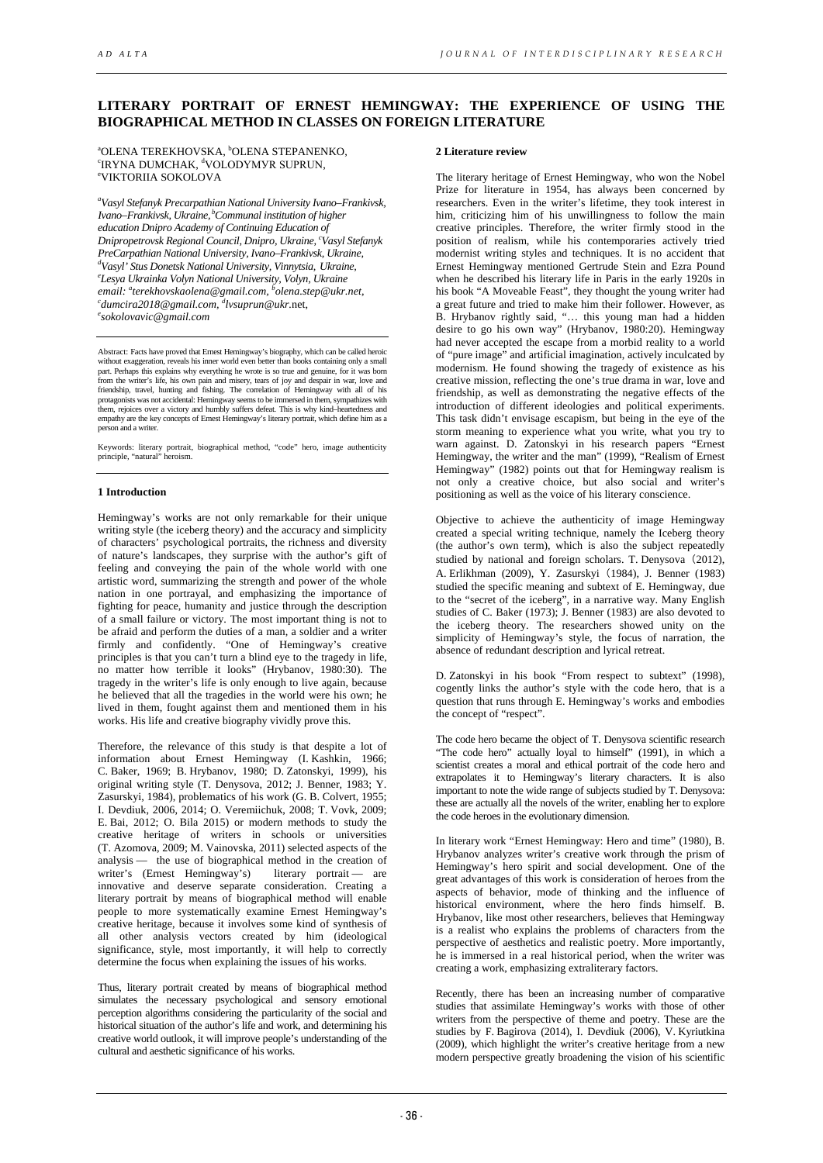# **LITERARY PORTRAIT OF ERNEST HEMINGWAY: THE EXPERIENCE OF USING THE BIOGRAPHICAL METHOD IN CLASSES ON FOREIGN LITERATURE**

<sup>a</sup>OLENA TEREKHOVSKA, <sup>b</sup>OLENA STEPANENKO,<br><sup>cid vna</sup> dli*mc*ha*k*, <sup>a</sup>volodymyp sliddlin <sup>e</sup>IRYNA DUMCHAK, <sup>d</sup>VOLODYMYR SUPRUN,<br><sup>e</sup>VIKTOPILA SOKOLOVA VIKTORIIA SOKOLOVA

 *a Vasyl Stefanyk Precarpathian National University Ivano–Frankivsk, Ivano–Frankivsk, Ukraine,* <sup>*b*</sup>Communal institution of higher *education Dnipro Academy of Continuing Education of Dnipropetrovsk Regional Council, Dnipro, Ukraine, c Vasyl Stefanyk PreCarpathian National University, Ivano–Frankivsk, Ukraine, d*  $^d$ Vasyl' Stus Donetsk National University, Vinnytsia, Ukraine, *email: a terekhovskaolena@gmail.com, b olena.step@ukr.net, c Lesya Ukrainka Volyn National University, Volyn, Ukraine dumcira2018@gmail.com, d [lvsuprun@ukr.](mailto:dlvsuprun@ukr.net)*net, *e sokolovavic@gmail.com*

Abstract: Facts have proved that Ernest Hemingway's biography, which can be called heroic without exaggeration, reveals his inner world even better than books containing only a small part. Perhaps this explains why everything he wrote is so true and genuine, for it was born<br>from the writer's life, his own pain and misery, tears of joy and despair in war, love and<br>friendship, travel, hunting and fishing them, rejoices over a victory and humbly suffers defeat. This is why kind–heartedness and empathy are the key concepts of Ernest Hemingway's literary portrait, which define him as a person and a writer.

Keywords: literary portrait, biographical method, "code" hero, image authenticity principle, "natural" heroism.

# **1 Introduction**

Hemingway's works are not only remarkable for their unique writing style (the iceberg theory) and the accuracy and simplicity of characters' psychological portraits, the richness and diversity of nature's landscapes, they surprise with the author's gift of feeling and conveying the pain of the whole world with one artistic word, summarizing the strength and power of the whole nation in one portrayal, and emphasizing the importance of fighting for peace, humanity and justice through the description of a small failure or victory. The most important thing is not to be afraid and perform the duties of a man, a soldier and a writer firmly and confidently. "One of Hemingway's creative principles is that you can't turn a blind eye to the tragedy in life, no matter how terrible it looks" (Hrybanov, 1980:30). The tragedy in the writer's life is only enough to live again, because he believed that all the tragedies in the world were his own; he lived in them, fought against them and mentioned them in his works. His life and creative biography vividly prove this.

Therefore, the relevance of this study is that despite a lot of information about Ernest Hemingway (I. Kashkin, 1966; C. Baker, 1969; B. Hrybanov, 1980; D. Zatonskyi, 1999), his original writing style (T. Denysova, 2012; J. Benner, 1983; Y. Zasurskyi, 1984), problematics of his work (G. B. Colvert, 1955; I. Devdiuk, 2006, 2014; O. Veremiichuk, 2008; T. Vovk, 2009; E. Bai, 2012; O. Bila 2015) or modern methods to study the creative heritage of writers in schools or universities (T. Azomova, 2009; M. Vainovska, 2011) selected aspects of the analysis — the use of biographical method in the creation of writer's (Ernest Hemingway's) literary portrait — are innovative and deserve separate consideration. Creating a literary portrait by means of biographical method will enable people to more systematically examine Ernest Hemingway's creative heritage, because it involves some kind of synthesis of all other analysis vectors created by him (ideological significance, style, most importantly, it will help to correctly determine the focus when explaining the issues of his works.

Thus, literary portrait created by means of biographical method simulates the necessary psychological and sensory emotional perception algorithms considering the particularity of the social and historical situation of the author's life and work, and determining his creative world outlook, it will improve people's understanding of the cultural and aesthetic significance of his works.

# **2 Literature review**

The literary heritage of Ernest Hemingway, who won the Nobel Prize for literature in 1954, has always been concerned by researchers. Even in the writer's lifetime, they took interest in him, criticizing him of his unwillingness to follow the main creative principles. Therefore, the writer firmly stood in the position of realism, while his contemporaries actively tried modernist writing styles and techniques. It is no accident that Ernest Hemingway mentioned Gertrude Stein and Ezra Pound when he described his literary life in Paris in the early 1920s in his book "A Moveable Feast", they thought the young writer had a great future and tried to make him their follower. However, as B. Hrybanov rightly said, "… this young man had a hidden desire to go his own way" (Hrybanov, 1980:20). Hemingway had never accepted the escape from a morbid reality to a world of "pure image" and artificial imagination, actively inculcated by modernism. He found showing the tragedy of existence as his creative mission, reflecting the one's true drama in war, love and friendship, as well as demonstrating the negative effects of the introduction of different ideologies and political experiments. This task didn't envisage escapism, but being in the eye of the storm meaning to experience what you write, what you try to warn against. D. Zatonskyi in his research papers "Ernest Hemingway, the writer and the man" (1999), "Realism of Ernest Hemingway" (1982) points out that for Hemingway realism is not only a creative choice, but also social and writer's positioning as well as the voice of his literary conscience.

Objective to achieve the authenticity of image Hemingway created a special writing technique, namely the Iceberg theory (the author's own term), which is also the subject repeatedly studied by national and foreign scholars. T. Denysova (2012), A. Erlikhman (2009), Y. Zasurskyi(1984), J. Benner (1983) studied the specific meaning and subtext of E. Hemingway, due to the "secret of the iceberg", in a narrative way. Many English studies of C. Baker (1973); J. Benner (1983) are also devoted to the iceberg theory. The researchers showed unity on the simplicity of Hemingway's style, the focus of narration, the absence of redundant description and lyrical retreat.

D. Zatonskyi in his book "From respect to subtext" (1998), cogently links the author's style with the code hero, that is a question that runs through E. Hemingway's works and embodies the concept of "respect".

The code hero became the object of T. Denysova scientific research "The code hero" actually loyal to himself" (1991), in which a scientist creates a moral and ethical portrait of the code hero and extrapolates it to Hemingway's literary characters. It is also important to note the wide range of subjects studied by T. Denysova: these are actually all the novels of the writer, enabling her to explore the code heroes in the evolutionary dimension.

In literary work "Ernest Hemingway: Hero and time" (1980), B. Hrybanov analyzes writer's creative work through the prism of Hemingway's hero spirit and social development. One of the great advantages of this work is consideration of heroes from the aspects of behavior, mode of thinking and the influence of historical environment, where the hero finds himself. B. Hrybanov, like most other researchers, believes that Hemingway is a realist who explains the problems of characters from the perspective of aesthetics and realistic poetry. More importantly, he is immersed in a real historical period, when the writer was creating a work, emphasizing extraliterary factors.

Recently, there has been an increasing number of comparative studies that assimilate Hemingway's works with those of other writers from the perspective of theme and poetry. These are the studies by F. Bagirova (2014), I. Devdiuk (2006), V. Kyriutkina (2009), which highlight the writer's creative heritage from a new modern perspective greatly broadening the vision of his scientific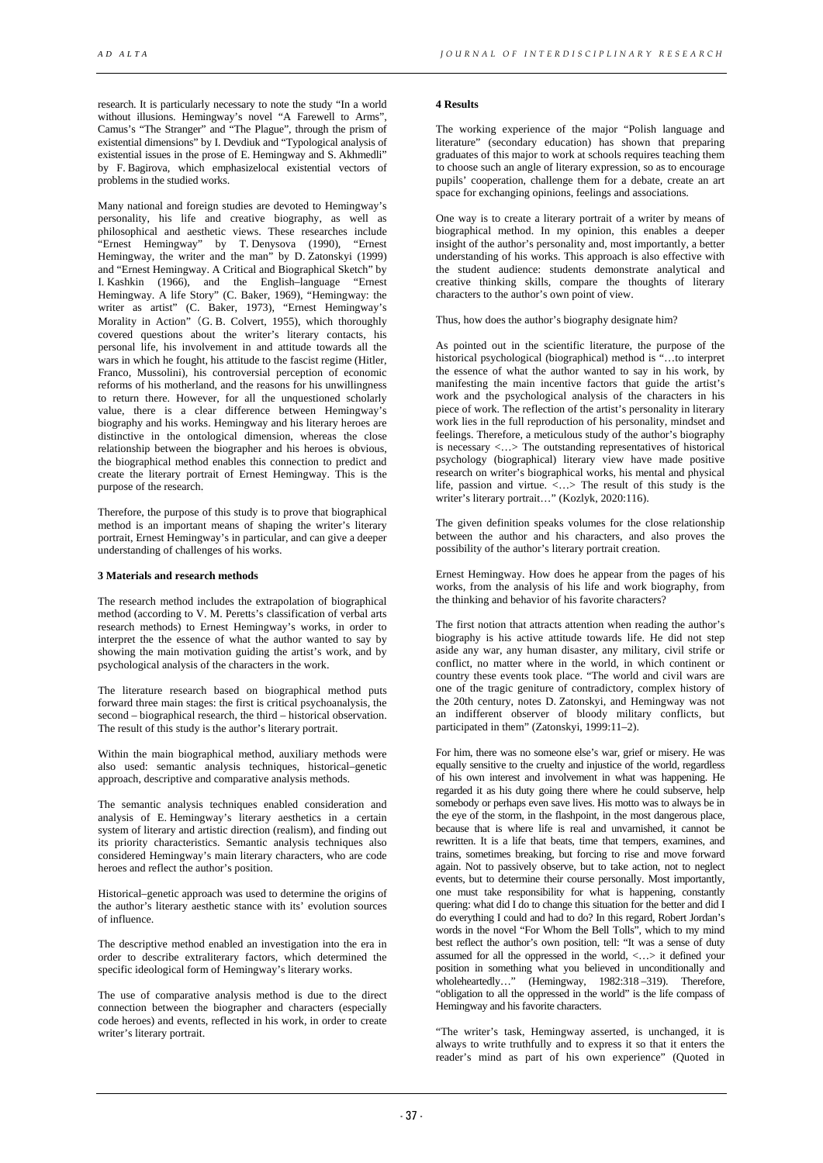research. It is particularly necessary to note the study "In a world without illusions. Hemingway's novel "A Farewell to Arms". Camus's "The Stranger" and "The Plague", through the prism of existential dimensions" by I. Devdiuk and "Typological analysis of existential issues in the prose of E. Hemingway and S. Akhmedli" by F. Bagirova, which emphasizelocal existential vectors of problems in the studied works.

Many national and foreign studies are devoted to Hemingway's personality, his life and creative biography, as well as philosophical and aesthetic views. These researches include "Ernest Hemingway" by T. Denysova (1990), "Ernest Hemingway, the writer and the man" by D. Zatonskyi (1999) and "Ernest Hemingway. A Critical and Biographical Sketch" by I. Kashkin (1966), and the English–language "Ernest Hemingway. A life Story" (C. Baker, 1969), "Hemingway: the writer as artist" (C. Baker, 1973), "Ernest Hemingway's Morality in Action"(G. B. Colvert, 1955), which thoroughly covered questions about the writer's literary contacts, his personal life, his involvement in and attitude towards all the wars in which he fought, his attitude to the fascist regime (Hitler, Franco, Mussolini), his controversial perception of economic reforms of his motherland, and the reasons for his unwillingness to return there. However, for all the unquestioned scholarly value, there is a clear difference between Hemingway's biography and his works. Hemingway and his literary heroes are distinctive in the ontological dimension, whereas the close relationship between the biographer and his heroes is obvious, the biographical method enables this connection to predict and create the literary portrait of Ernest Hemingway. This is the purpose of the research.

Therefore, the purpose of this study is to prove that biographical method is an important means of shaping the writer's literary portrait, Ernest Hemingway's in particular, and can give a deeper understanding of challenges of his works.

# **3 Materials and research methods**

The research method includes the extrapolation of biographical method (according to V. M. Peretts's classification of verbal arts research methods) to Ernest Hemingway's works, in order to interpret the the essence of what the author wanted to say by showing the main motivation guiding the artist's work, and by psychological analysis of the characters in the work.

The literature research based on biographical method puts forward three main stages: the first is critical psychoanalysis, the second – biographical research, the third – historical observation. The result of this study is the author's literary portrait.

Within the main biographical method, auxiliary methods were also used: semantic analysis techniques, historical–genetic approach, descriptive and comparative analysis methods.

The semantic analysis techniques enabled consideration and analysis of E. Hemingway's literary aesthetics in a certain system of literary and artistic direction (realism), and finding out its priority characteristics. Semantic analysis techniques also considered Hemingway's main literary characters, who are code heroes and reflect the author's position.

Historical–genetic approach was used to determine the origins of the author's literary aesthetic stance with its' evolution sources of influence.

The descriptive method enabled an investigation into the era in order to describe extraliterary factors, which determined the specific ideological form of Hemingway's literary works.

The use of comparative analysis method is due to the direct connection between the biographer and characters (especially code heroes) and events, reflected in his work, in order to create writer's literary portrait.

#### **4 Results**

The working experience of the major "Polish language and literature" (secondary education) has shown that preparing graduates of this major to work at schools requires teaching them to choose such an angle of literary expression, so as to encourage pupils' cooperation, challenge them for a debate, create an art space for exchanging opinions, feelings and associations.

One way is to create a literary portrait of a writer by means of biographical method. In my opinion, this enables a deeper insight of the author's personality and, most importantly, a better understanding of his works. This approach is also effective with the student audience: students demonstrate analytical and creative thinking skills, compare the thoughts of literary characters to the author's own point of view.

Thus, how does the author's biography designate him?

As pointed out in the scientific literature, the purpose of the historical psychological (biographical) method is "...to interpret the essence of what the author wanted to say in his work, by manifesting the main incentive factors that guide the artist's work and the psychological analysis of the characters in his piece of work. The reflection of the artist's personality in literary work lies in the full reproduction of his personality, mindset and feelings. Therefore, a meticulous study of the author's biography is necessary <...> The outstanding representatives of historical psychology (biographical) literary view have made positive research on writer's biographical works, his mental and physical life, passion and virtue. <…> The result of this study is the writer's literary portrait…" (Kozlyk, 2020:116).

The given definition speaks volumes for the close relationship between the author and his characters, and also proves the possibility of the author's literary portrait creation.

Ernest Hemingway. How does he appear from the pages of his works, from the analysis of his life and work biography, from the thinking and behavior of his favorite characters?

The first notion that attracts attention when reading the author's biography is his active attitude towards life. He did not step aside any war, any human disaster, any military, civil strife or conflict, no matter where in the world, in which continent or country these events took place. "The world and civil wars are one of the tragic geniture of contradictory, complex history of the 20th century, notes D. Zatonskyi, and Hemingway was not an indifferent observer of bloody military conflicts, but participated in them" (Zatonskyi, 1999:11–2).

For him, there was no someone else's war, grief or misery. He was equally sensitive to the cruelty and injustice of the world, regardless of his own interest and involvement in what was happening. He regarded it as his duty going there where he could subserve, help somebody or perhaps even save lives. His motto was to always be in the eye of the storm, in the flashpoint, in the most dangerous place, because that is where life is real and unvarnished, it cannot be rewritten. It is a life that beats, time that tempers, examines, and trains, sometimes breaking, but forcing to rise and move forward again. Not to passively observe, but to take action, not to neglect events, but to determine their course personally. Most importantly, one must take responsibility for what is happening, constantly quering: what did I do to change this situation for the better and did I do everything I could and had to do? In this regard, Robert Jordan's words in the novel "For Whom the Bell Tolls", which to my mind best reflect the author's own position, tell: "It was a sense of duty assumed for all the oppressed in the world, <…> it defined your position in something what you believed in unconditionally and wholeheartedly…" (Hemingway, 1982:318 –319). Therefore, "obligation to all the oppressed in the world" is the life compass of Hemingway and his favorite characters.

"The writer's task, Hemingway asserted, is unchanged, it is always to write truthfully and to express it so that it enters the reader's mind as part of his own experience" (Quoted in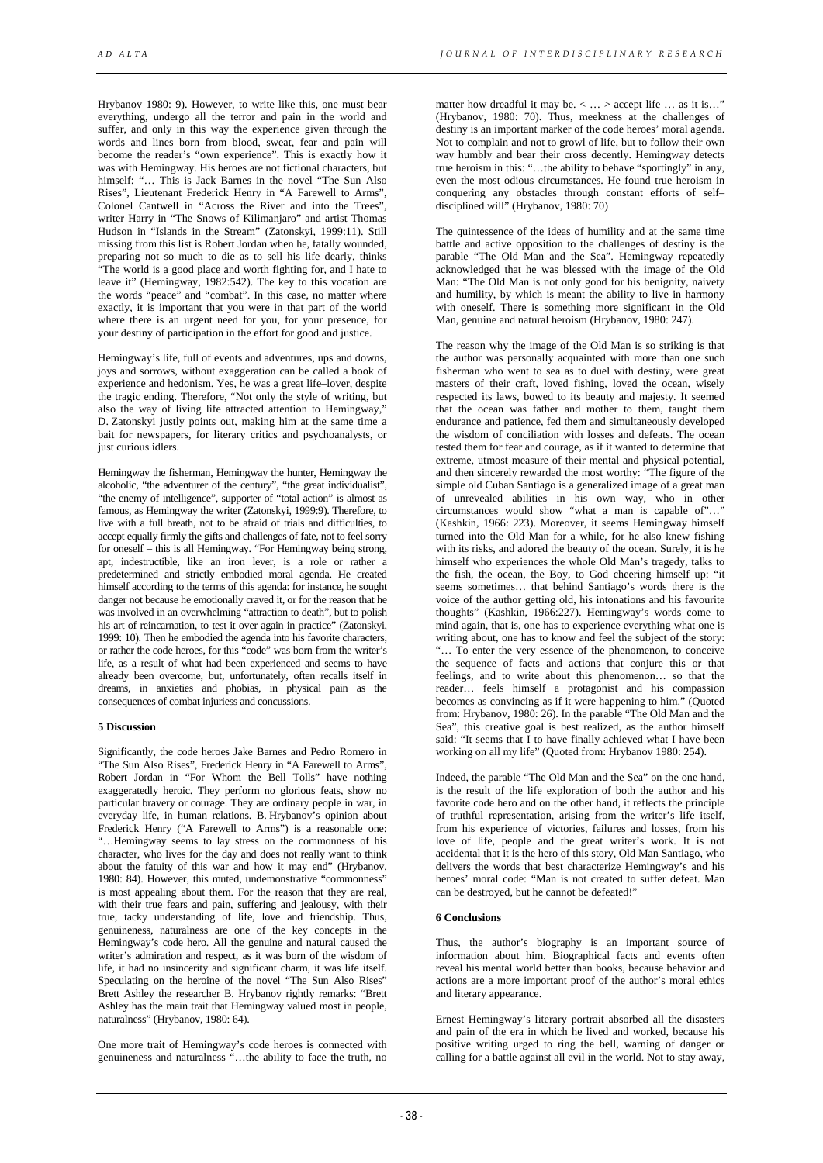Hrybanov 1980: 9). However, to write like this, one must bear everything, undergo all the terror and pain in the world and suffer, and only in this way the experience given through the words and lines born from blood, sweat, fear and pain will become the reader's "own experience". This is exactly how it was with Hemingway. His heroes are not fictional characters, but himself: "… This is Jack Barnes in the novel "The Sun Also Rises", Lieutenant Frederick Henry in "A Farewell to Arms", Colonel Cantwell in "Across the River and into the Trees", writer Harry in "The Snows of Kilimanjaro" and artist Thomas Hudson in "Islands in the Stream" (Zatonskyi, 1999:11). Still missing from this list is Robert Jordan when he, fatally wounded, preparing not so much to die as to sell his life dearly, thinks "The world is a good place and worth fighting for, and I hate to leave it" (Hemingway, 1982:542). The key to this vocation are the words "peace" and "combat". In this case, no matter where exactly, it is important that you were in that part of the world where there is an urgent need for you, for your presence, for your destiny of participation in the effort for good and justice.

Hemingway's life, full of events and adventures, ups and downs, joys and sorrows, without exaggeration can be called a book of experience and hedonism. Yes, he was a great life–lover, despite the tragic ending. Therefore, "Not only the style of writing, but also the way of living life attracted attention to Hemingway,' D. Zatonskyi justly points out, making him at the same time a bait for newspapers, for literary critics and psychoanalysts, or just curious idlers.

Hemingway the fisherman, Hemingway the hunter, Hemingway the alcoholic, "the adventurer of the century", "the great individualist", "the enemy of intelligence", supporter of "total action" is almost as famous, as Hemingway the writer (Zatonskyi, 1999:9). Therefore, to live with a full breath, not to be afraid of trials and difficulties, to accept equally firmly the gifts and challenges of fate, not to feel sorry for oneself – this is all Hemingway. "For Hemingway being strong, apt, indestructible, like an iron lever, is a role or rather a predetermined and strictly embodied moral agenda. He created himself according to the terms of this agenda: for instance, he sought danger not because he emotionally craved it, or for the reason that he was involved in an overwhelming "attraction to death", but to polish his art of reincarnation, to test it over again in practice" (Zatonskyi, 1999: 10). Then he embodied the agenda into his favorite characters, or rather the code heroes, for this "code" was born from the writer's life, as a result of what had been experienced and seems to have already been overcome, but, unfortunately, often recalls itself in dreams, in anxieties and phobias, in physical pain as the consequences of combat injuriess and concussions.

#### **5 Discussion**

Significantly, the code heroes Jake Barnes and Pedro Romero in "The Sun Also Rises", Frederick Henry in "A Farewell to Arms", Robert Jordan in "For Whom the Bell Tolls" have nothing exaggeratedly heroic. They perform no glorious feats, show no particular bravery or courage. They are ordinary people in war, in everyday life, in human relations. B. Hrybanov's opinion about Frederick Henry ("A Farewell to Arms") is a reasonable one: "…Hemingway seems to lay stress on the commonness of his character, who lives for the day and does not really want to think about the fatuity of this war and how it may end" (Hrybanov, 1980: 84). However, this muted, undemonstrative "commonness" is most appealing about them. For the reason that they are real, with their true fears and pain, suffering and jealousy, with their true, tacky understanding of life, love and friendship. Thus, genuineness, naturalness are one of the key concepts in the Hemingway's code hero. All the genuine and natural caused the writer's admiration and respect, as it was born of the wisdom of life, it had no insincerity and significant charm, it was life itself. Speculating on the heroine of the novel "The Sun Also Rises" Brett Ashley the researcher B. Hrybanov rightly remarks: "Brett Ashley has the main trait that Hemingway valued most in people, naturalness" (Hrybanov, 1980: 64).

One more trait of Hemingway's code heroes is connected with genuineness and naturalness "…the ability to face the truth, no

matter how dreadful it may be. < ... > accept life ... as it is..." (Hrybanov, 1980: 70). Thus, meekness at the challenges of destiny is an important marker of the code heroes' moral agenda. Not to complain and not to growl of life, but to follow their own way humbly and bear their cross decently. Hemingway detects true heroism in this: "…the ability to behave "sportingly" in any, even the most odious circumstances. He found true heroism in conquering any obstacles through constant efforts of self– disciplined will" (Hrybanov, 1980: 70)

The quintessence of the ideas of humility and at the same time battle and active opposition to the challenges of destiny is the parable "The Old Man and the Sea". Hemingway repeatedly acknowledged that he was blessed with the image of the Old Man: "The Old Man is not only good for his benignity, naivety and humility, by which is meant the ability to live in harmony with oneself. There is something more significant in the Old Man, genuine and natural heroism (Hrybanov, 1980: 247).

The reason why the image of the Old Man is so striking is that the author was personally acquainted with more than one such fisherman who went to sea as to duel with destiny, were great masters of their craft, loved fishing, loved the ocean, wisely respected its laws, bowed to its beauty and majesty. It seemed that the ocean was father and mother to them, taught them endurance and patience, fed them and simultaneously developed the wisdom of conciliation with losses and defeats. The ocean tested them for fear and courage, as if it wanted to determine that extreme, utmost measure of their mental and physical potential, and then sincerely rewarded the most worthy: "The figure of the simple old Cuban Santiago is a generalized image of a great man of unrevealed abilities in his own way, who in other circumstances would show "what a man is capable of"... (Kashkin, 1966: 223). Moreover, it seems Hemingway himself turned into the Old Man for a while, for he also knew fishing with its risks, and adored the beauty of the ocean. Surely, it is he himself who experiences the whole Old Man's tragedy, talks to the fish, the ocean, the Boy, to God cheering himself up: "it seems sometimes… that behind Santiago's words there is the voice of the author getting old, his intonations and his favourite thoughts" (Kashkin, 1966:227). Hemingway's words come to mind again, that is, one has to experience everything what one is writing about, one has to know and feel the subject of the story: "… To enter the very essence of the phenomenon, to conceive the sequence of facts and actions that conjure this or that feelings, and to write about this phenomenon… so that the reader… feels himself a protagonist and his compassion becomes as convincing as if it were happening to him." (Quoted from: Hrybanov, 1980: 26). In the parable "The Old Man and the Sea", this creative goal is best realized, as the author himself said: "It seems that I to have finally achieved what I have been working on all my life" (Quoted from: Hrybanov 1980: 254).

Indeed, the parable "The Old Man and the Sea" on the one hand, is the result of the life exploration of both the author and his favorite code hero and on the other hand, it reflects the principle of truthful representation, arising from the writer's life itself, from his experience of victories, failures and losses, from his love of life, people and the great writer's work. It is not accidental that it is the hero of this story, Old Man Santiago, who delivers the words that best characterize Hemingway's and his heroes' moral code: "Man is not created to suffer defeat. Man can be destroyed, but he cannot be defeated!"

# **6 Conclusions**

Thus, the author's biography is an important source of information about him. Biographical facts and events often reveal his mental world better than books, because behavior and actions are a more important proof of the author's moral ethics and literary appearance.

Ernest Hemingway's literary portrait absorbed all the disasters and pain of the era in which he lived and worked, because his positive writing urged to ring the bell, warning of danger or calling for a battle against all evil in the world. Not to stay away,